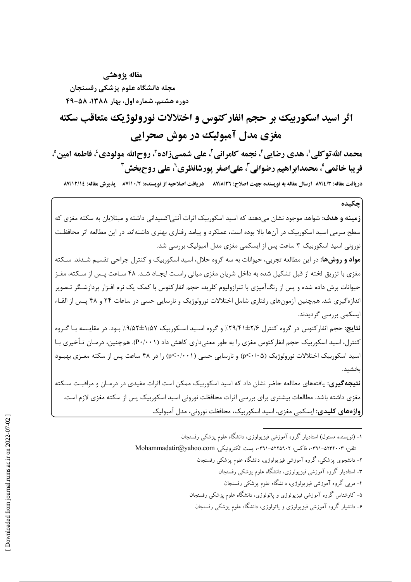مقاله يژوهشي مجله دانشگاه علوم پزشکی رفسنجان دوره هشتم، شماره اول، بهار ۱۳۸۸، ۵۸-۴۹

اثر اسید اسکوربیک بر حجم انفار کتوس و اختلالات نورولوژیک متعاقب سکته مغزی مدل آمبولیک در موش صحرایی

محمد الله تو كلي '، هدي رضايي '، نجمه كامراني '، علي شمسيزاده '، روحالله مولودي '، فاطمه امين '، فريبا خاتمي ؒ، محمدابراهيم رضواني ؒ، علياصغر پورشانظري ؒ، علي روحبخش ؒ

دريافت مقاله: ٨٧/٤/٣ ارسال مقاله به نويسنده جهت اصلاح: ٨٧/٨/٢٦ - دريافت اصلاحيه از نويسنده: ٨٧/١٠/٢ - يذيرش مقاله: ٨٧/١٢/١٤

#### حكىدە

<mark>زمینه و هدف:</mark> شواهد موجود نشان میدهند که اسید اسکوربیک اثرات آنتی|کسیدانی داشته و مبتلایان به سکته مغزی که سطح سرمی اسید اسکوربیک در آنها بالا بوده است، عملکرد و پیامد رفتاری بهتری داشتهاند. در این مطالعه اثر محافظت نورونی اسید اسکوربیک ۳ ساعت پس از ایسکمی مغزی مدل آمبولیک بررسی شد.

**مواد و روشها:** در این مطالعه تجربی، حیوانات به سه گروه حلال، اسید اسکوربیک و کنترل جراحی تقسیم شـدند. سـکته مغزی با تزریق لخته از قبل تشکیل شده به داخل شریان مغزی میانی راست ایجـاد شـد. ۴۸ سـاعت پـس از سـکته، مغـز حیوانات برش داده شده و پس از رنگآمیزی با تترازولیوم کلرید، حجم انفارکتوس با کمک یک نرم افـزار پردازشـگر تـصویر اندازهگیری شد. همچنین آزمونهای رفتاری شامل اختلالات نورولوژیک و نارسایی حسی در ساعات ۲۴ و ۴۸ پـس از القـاء ایسکمے بررسے گردیدند.

نتایج: حجم انفارکتوس در گروه کنترل ۲/۶=۲۹/۴۱٪ و گروه اسـید اسـکوربیک ۱/۵۷±۹/۵۲٪ بـود. در مقایـسه بـا گـروه کنترل، اسید اسکوربیک حجم انفارکتوس مغزی را به طور معنیداری کاهش داد (P۰/۰۰۱). همچنین، درمـان تـأخیری بـا اسید اسکوربیک اختلالات نورولوژیک (p<۰/۰۵) و نارسایی حسی (p<۰/۰۱) را در ۴۸ ساعت پس از سکته مغـزی بهبـود وخاش ورو

**نتیجه گیری:** یافتههای مطالعه حاضر نشان داد که اسید اسکوربیک ممکن است اثرات مفیدی در درمـان و مراقبـت سـکته مغزی داشته باشد. مطالعات بیشتری برای بررسی اثرات محافظت نورونی اسید اسکوربیک پس از سکته مغزی لازم است. واژههای کلیدی: ایسکمی مغزی، اسید اسکوربیک، محافظت نورونی، مدل آمبولیک

۱- (نویسنده مسئول) استادیار گروه آموزشی فیزیولوژی، دانشگاه علوم پزشکی رفسنجان

تلفن: ٢٩١٣-٢٩١٠، فاكس: ٥٢٢٥٩٠٢، يست الكترونيكي: Mohammadatir@yahoo.com

۲- دانشجوی پزشکی، گروه آموزشی فیزیولوژی، دانشگاه علوم پزشکی رفسنجان

۳- استادیار گروه آموزشی فیزیولوژی، دانشگاه علوم یزشکی رفسنجان

۴- مربی گروه آموزشی فیزیولوژی، دانشگاه علوم پزشکی رفسنجان

۵- کارشناس گروه آموزشی فیزیولوژی و پاتولوژی، دانشگاه علوم پزشکی رفسنجان

۶– دانشیار گروه آموزشی فیزیولوژی و پاتولوژی، دانشگاه علوم پزشکی رفسنجان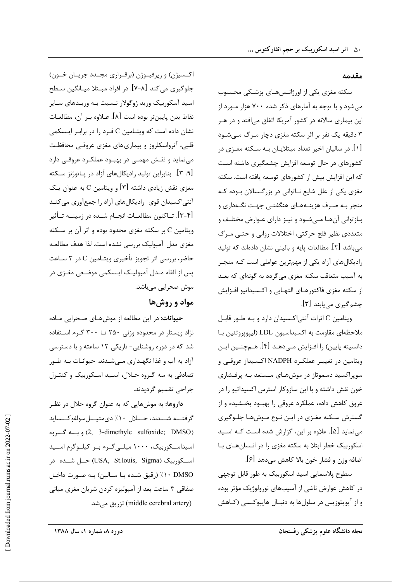مقدمه

سکته مغزی یکی از اورژانـسهـای پزشـکی محـسوب میشود و با توجه به آمارهای ذکر شده ۷۰۰ هزار مـورد از این بیماری سالانه در کشور آمریکا اتفاق می افتد و در هـر ۳ دقیقه یک نفر بر اثر سکته مغزی دچار مـرگ مـی شـود [۱]. در سالیان اخیر تعداد مبتلایـان بـه سـکته مغـزی در کشورهای در حال توسعه افزایش چشمگیری داشته است که این افزایش بیش از کشورهای توسعه یافته است. سکته مغزی یکی از علل شایع نـاتوانی در بزرگـسالان بـوده کـه منجر بـه صـرف هزینــههـای هنگفتــی جهـت نگــهداری و بـازتوانی آنهـا مـیشـود و نیـز دارای عـوارض مختلـف و متعددي نظير فلج حركتي، اختلالات رواني و حتـي مـرگ میباشد [۲]. مطالعات پایه و بالینی نشان دادهاند که تولید رادیکال های آزاد یکی از مهمترین عواملی است کـه منجـر به آسیب متعاقب سکته مغزی میگردد به گونهای که بعـد از سكته مغزى فاكتورهـاي التهـابي و اكـسيداتيو افـزايش چشمگیری مے پابند [۳].

ويتامين C اثرات آنتي اكسيدان دارد و بـه طـور قابـل ملاحظهای مقاومت به اکسیداسیون LDL (لیپوپروتئین بـا دانسیته پایین) را افـزایش مـیدهـد [۴]. هـمچنــین ایـن ويتامين در تغييـر عملكـرد NADPH اكـسيداز عروقـي و سوپراکسید دسموتاز در موشهـای مـستعد بـه پرفـشاری خون نقش داشته و با این سازوکار استرس اکسیداتیو را در عروق کاهش داده، عملکرد عروقی را بهبود بخشیده و از گسترش سکته مغـزی در ایـن نـوع مـوشهـا جلـوگیری می:ماید [۵]. علاوه بر این، گزارش شده است کـه اسـید اسکوربیک خطر ابتلا به سکته مغزی را در انـسانهـای بـا اضافه وزن و فشار خون بالا كاهش مىدهد [۶].

سطوح پلاسمایی اسید اسکوربیک به طور قابل توجهی در کاهش عوارض ناشی از آسیبهای نورولوژیک مؤثر بوده و از آپوپتوزیس در سلولها به دنبـال هایپوکـسی (کـاهش

اکـسیژن) و رپرفیـوژن (برقـراری مجـدد جریـان خـون) جلوگیری می کند [۸-۷]. در افراد مبــتلا میــانگین سـطح اسید آسکوربیک ورید ژوگولار نـسبت بـه وریـدهای سـایر نقاط بدن پايينتر بوده است [۸]. عــلاوه بــر آن، مطالعــات نشان داده است كه ويتـامين C فـرد را در برابـر ايـسكمى قلبی، آترواسکلروز و بیماریهای مغزی عروقـی محافظـت می نماید و نقـش مهمـی در بهبـود عملکـرد عروقـی دارد [۹، ۳]. بنابراین تولید رادیکالهای آزاد در پـاتوژنز سـکته مغزی نقش زیادی داشته [۳] و ویتامین C به عنوان یـک آنتی|کسیدان قوی رادیکالهای آزاد را جمعآوری می کنـد [٣-۴]. تــاكنون مطالعــات انجــام شــده در زمينــه تــأثير ویتامین C بر سکته مغزی محدود بوده و اثر آن بر سـکته مغزی مدل آمبولیک بررسی نشده است. لذا هدف مطالعـه حاضر، بررسی اثر تجویز تأخیری ویتـامین C در ۳ سـاعت پس از القاء مـدل آمبوليـک ايـسکمى موضـعى مغـزى در موش صحرایی میباشد.

## مواد و روش ها

حی**وانات**: در این مطالعه از موشهـای صـحرایی مـاده نژاد ویستار در محدوده وزنی ۲۵۰ تــا ۳۰۰ گـرم اسـتفاده شد که در دوره روشنایی- تاریکی ۱۲ ساعته و با دسترسی آزاد به آب و غذا نگهـداري مـيشـدند. حيوانــات بــه طــور تصادفی به سه گروه حـلال، اسـید اسـکوربیک و کنتـرل جراحي تقسيم گرديدند.

داروها: به موشهایی که به عنوان گروه حلال در نظر گرفتـــه شـــدند، حـــلال ۱۰٪ دىمتيـــلسولفوكـــسايد (2, 3-dimethyle sulfoxide; DMSO) وبسه گیروه اسیداسـکوربیک، ۱۰۰۰ میلـیگـرم بـر کیلـوگرم اسـید اســکورېيک (USA, St.louis, Sigma) حــل شــده در ۱۰ DMSO) (رقيق شده با سالين) بـه صـورت داخـل صفاقی ۳ ساعت بعد از آمبولیزه کردن شریان مغزی میانی (middle cerebral artery) تزریق می شد.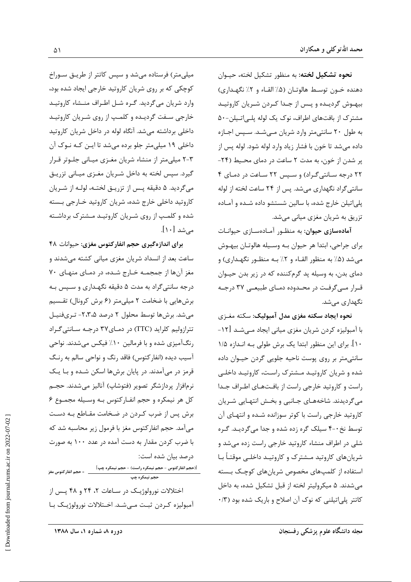<mark>نحوه تشکیل لخته:</mark> به منظور تشکیل لخته، حیـوان دهنده خـون توسـط هالوتـان (۵٪ القـاء و ۲٪ نگهـداری) بیهـوش گردیـده و پـس از جـدا کـردن شـریان کاروتیـد مشترک از بافتهای اطراف، نوک یک لوله پلـی|تـیلن-۵۰ به طول ۲۰ سانتیمتر وارد شریان میشد. سپس اجازه داده میشد تا خون با فشار زیاد وارد لوله شود. لوله پس از پر شدن از خون، به مدت ۲ ساعت در دمای محیط (۲۴-۲۲ درجه سانتی گراد) و سپس ۲۲ ساعت در دمای ۴ سانتی گراد نگهداری میشد. پس از ۲۴ ساعت لخته از لوله پلی اتیلن خارج شده، با سالین شستشو داده شـده و آمـاده تزریق به شریان مغزی میانی میشد.

آمادهسازی حیوان: به منظـور آمـادهسـازی حیوانـات برای جراحی، ابتدا هر حیوان بـه وسـیله هالوتـان بیهـوش می شد (۵٪ به منظور القـاء و ۲٪ بـه منظـور نگهـداری) و دمای بدن، به وسیله پد گرمکننده که در زیر بدن حیـوان قـرار مـیگرفـت در محـدوده دمـای طبیعـی ۳۷ درجـه نگھداری مے شد.

نحوه ایجاد سکته مغزی مدل آمبولیک: سکته مغـزی با آمبولیزه کردن شریان مغزی میانی ایجاد مـیشـد [۱۲-۱۰]. برای این منظور ابتدا یک برش طولی بـه انـدازه ۱/۵ سانتی متر بر روی پوست ناحیه جلویی گردن حیـوان داده شده و شریان کاروتیـد مـشترک راسـت، کاروتیـد داخلـی راست و کاروتید خارجی راست از بافتهای اطراف جدا میگردیدند. شاخههـای جـانبی و بخـش انتهـایی شـریان کاروتید خارجی راست با کوتر سوزانده شـده و انتهـای آن توسط نخ ۰-۴ سیلک گره زده شده و جدا می گردیـد. گـره شلي در اطراف منشاء کاروتيد خارجي راست زده مي شد و شریانهای کاروتید مـشترک و کاروتیـد داخلـی موقتـاً بـا استفاده از کلمپهای مخصوص شریانهای کوچک بسته می شدند. ۵ میکرولیتر لخته از قبل تشکیل شده، به داخل کاتتر پلیاتیلنی که نوک آن اصلاح و باریک شده بود (۰/۳

میلی متر) فرستاده میشد و سپس کاتتر از طریـق سـوراخ کوچکی که بر روی شریان کاروتید خارجی ایجاد شده بود، وارد شریان میگردید. گره شـل اطـراف منـشاء کاروتیـد خارجی سـفت گردیـده و کلمـپ از روی شـریان کاروتیـد داخلی برداشته میشد. آنگاه لوله در داخل شریان کاروتید داخلی ۱۹ میلی متر جلو برده میشد تا ایـن کـه نـوک آن ۳-۲ میلی متر از منشاء شریان مغـزی میـانی جلـوتر قـرار گیرد. سپس لخته به داخل شـریان مغـزی میـانی تزریـق میگردید. ۵ دقیقه پـس از تزریـق لختـه، لولـه از شـریان کاروتید داخلی خارج شده، شریان کاروتید خـارجی بـسته شده و کلمپ از روی شـریان کاروتیـد مـشترک برداشـته مے شد [۱۰].

برای اندازهگیری حجم انفارکتوس مغزی: حیوانات ۴۸ ساعت بعد از انسداد شریان مغزی میانی کشته می شدند و مغز آنها از جمجمـه خـارج شـده، در دمـای منهـای ۷۰ درجه سانتیگراد به مدت ۵ دقیقه نگهـداری و سـپس بـه برشهایی با ضخامت ٢ میلی متر (۶ برش کرونال) تقسیم می شد. برشها توسط محلول ۲ درصد ۲،۳،۵- تـریفنیـل تترازولیم کلراید (TTC) در دمـای۳۷ درجـه سـانتی گـراد رنگآمیزی شده و با فرمالین ۱۰٪ فیکس میشدند. نواحی آسیب دیده (انفارکتوس) فاقد رنگ و نواحی سالم به رنگ قرمز در میآمدند. در پایان برشها اسکن شـده و بـا یـک نرمافزار پردازشگر تصویر (فتوشاپ) آنالیز میشدند. حجـم كل هر نيمكره و حجم انفـاركتوس بـه وسـيله مجمـوع ۶ برش پس از ضرب کـردن در ضـخامت مقـاطع بـه دسـت میآمد. حجم انفارکتوس مغز با فرمول زیر محاسبه شد که با ضرب کردن مقدار به دست آمده در عدد ۱۰۰ به صورت درصد بيان شده است:

[(حجم انفارکتوس - حجم نیمکره راست) - حجم نیمکره چپ] = حجم انفار كتوس مغز اختلالات نورولوژیک در ساعات ۲، ۲۴ و ۴۸ پس از آمبوليزه كـردن ثبـت مـي شـد. اخــتلالات نورولوژيـک بـا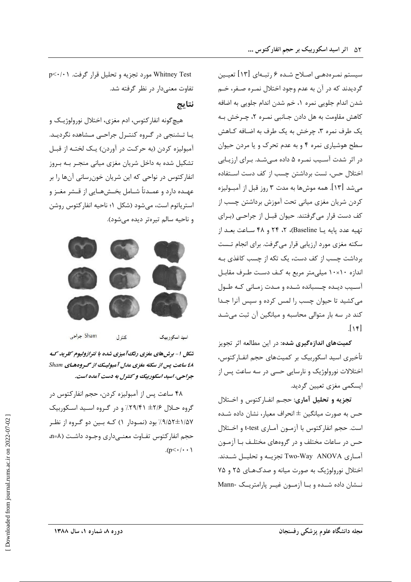سیستم نمـرەدھـے اصـلاح شـده ۶ , تبـهای [۱۳] تعیـین گرديدند كه در آن به عدم وجود اختلال نمـره صـفر، خـم شدن اندام جلویی نمره ۱، خم شدن اندام جلویی به اضافه كاهش مقاومت به هل دادن جـانبي نمـره ٢، چـرخش بـه یک طرف نمره ۳، چرخش به یک طرف به اضافه کـاهش سطح هوشیاری نمره ۴ و به عدم تحرک و یا مردن حیوان در اثر شدت آسـیب نمـره ۵ داده مـیشـد. بـرای ارزیـابی اختلال حس، تست برداشتن چسب از کف دست استفاده میشد [۱۳]. همه موشها به مدت ۳ روز قبل از آمبولیزه کردن شریان مغزی میانی تحت آموزش برداشتن چسب از كف دست قرار مي گرفتند. حيوان قبــل از جراحــي (بــراي تهيه عدد يايه يــا Baseline)، ٢، ٢۴ و ۴۸ سـاعت بعــد از سکته مغزی مورد ارزیابی قرار می گرفت. برای انجام تـست برداشت چسب از کف دست، یک تکه از چسب کاغذی بـه اندازه ۱۰×۱۰ میلی متر مربع به کـف دسـت طـرف مقابـل آسيب دينده چنسبانده شنده و مندت زمناني كنه طنول می کشید تا حیوان چسب را لمس کرده و سپس آنرا جـدا کند در سه بار متوالی محاسبه و میانگین آن ثبت می شد  $[\iota \kappa]$ 

کمیتهای اندازهگیری شده: در این مطالعه اثر تجویز تأخیری اسید اسکوربیک بر کمیتهای حجم انفـارکتوس، اختلالات نورولوژیک و نارسایی حسی در سه ساعت پس از ايسكمي مغزى تعيين گرديد.

تجزیه و تحلیل آماری: حجـم انفـارکتوس و اخـتلال حس به صورت میانگین ± انحراف معیار، نشان داده شـده است. حجم انفاركتوس با آزمـون آمـاري t-test و اخــتلال حس در ساعات مختلف و در گروههای مختلـف بـا آزمـون آمـاری Two-Way ANOVA تجزیــه و تحلیــل شــدند. اختلال نورولوژیک به صورت میانه و صدکهای ۲۵ و ۷۵ نسشان داده شـده و بـا آزمـون غيـر پارامتريـک -Mann

Whitney Test مورد تجزیه و تحلیل قرار گرفت. p<٠/٠١ تفاوت معنى دار در نظر گرفته شد.

نتايج

هيچگونه انفاركتوس، ادم مغزى، اختلال نورولوژيــک و یـا تـشنجی در گـروه کنتـرل جراحـی مـشاهده نگردیـد. آمبولیزه کردن (به حرکت در آوردن) یـک لختـه از قبـل تشکیل شده به داخل شریان مغزی میانی منجـر بـه بـروز انفارکتوس در نواحی که این شریان خونرسانی آنها را بر عهـده دارد و عمـدتاً شــامل بخــشهــایی از قــشر مغــز و استریاتوم است، میشود (شکل ۱؛ ناحیه انفار کتوس روشن و ناحيه سالم تيرهتر ديده مي شود).



كنترل اسید اسکوربیک

Sham جراحي

شکل ۱- برش های مغزی رنگ آمیزی شده با تترازولیوم کلرید ک ٤٨ ساعت پس از سكته مغزى مدل آمبوليك از گروههاى Sham جراحي، اسيد اسكوربيك و كنترل به دست آمده است.

۴۸ ساعت پس از آمبولیزه کردن، حجم انفارکتوس در گروه حـلال ۲/۶± ۲۹/۴۱٪ و در گـروه اسـيد اسـكوربيك ۹/۵۲±۱/۵۷٪ بود (نمـودار ۱) کـه بـين دو گـروه از نظـر حجم انفار کتوس تفـاوت معنــیcاری وجــود داشــت (A=n.  $(p<\cdot/\cdot)$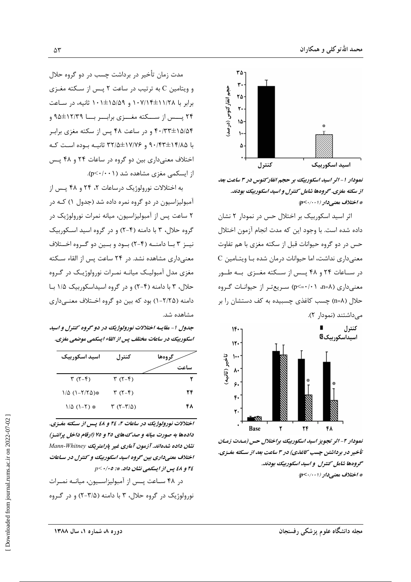

نمودار ۱- اثر اسید اسکورییک بر حجم انفار کتوس در ۳ ساعت بعد از سکته مغزی. گروهها شامل کنترل و اسید اسکوربیک بودند. \* اختلاف معنى دار (٠/٠٠١)

اثر اسید اسکوربیک بر اختلال حس در نمودار ۲ نشان داده شده است. با وجود این که مدت انجام آزمون اختلال حس در دو گروه حیوانات قبل از سکته مغزی با هم تفاوت معنیداری نداشت، اما حیوانات درمان شده با ویتامین C در ساعات ٢۴ و ۴۸ پـس از سـكته مغـزى بـه طـور معنیداری (n=۸، p<=٠/۰۱) سریعتر از حیوانات گروه حلال (n=A) چسب کاغذی چسبیده به کف دستشان ,ا بر می داشتند (نمودار ۲).



نمودار ۲- اثر تجویز اسید اسکوربیک براختلال حس (ملت زمان تأخیر در برداشتن چسب کاغذی) در ۳ ساعت بعد از سکته مغـزی. گروهها شامل کنترل و اسید اسکوربیک بودند. \* اختلاف معنى دار (٠٠١١/١٠٧)

مدت زمان تأخیر در برداشت چسب در دو گروه حلال و ویتامین C به ترتیب در ساعت ۲ پس از سکته مغـزی برابر با ۱۰۷/۱۴±۱۰۷/۱۴ و ۱۵/۵۹±۱۰۱ ثانیه، در ساعت ۲۴ پسس از ســـکته مغـــزی برابـــر بـــا ۱۲/۳۹±۹۵ و ۴۰/۳۳±۱۵/۵۴ و در ساعت ۴۸ پس از سکته مغزی برابر با ۹۰/۴۳±۱۴/۸۵ و ۱۷/۷۶±۱۷/۷۶ ثانیــه بـوده اسـت کـه اختلاف معنیداری بین دو گروه در ساعات ۲۴ و ۴۸ پس از ایسکمی مغزی مشاهده شد (p<٠/٠٠١).

به اختلالات نورولوژیک درساعات ۲، ۲۴ و ۴۸ پس از آمبولیزاسیون در دو گروه نمره داده شد (جدول ۱) کـه در ۲ ساعت پس از آمبولیزاسیون، میانه نمرات نورولوژیک در گروه حلال، ۳ با دامنه (۴-۲) و در گروه اسید اسکوربیک نیـز ۳ بـا دامنـه (۴-۲) بـود و بـین دو گـروه اخـتلاف معنیداری مشاهده نشد. در ۲۴ ساعت پس از القاء سکته مغزی مدل آمبولیک میانـه نمـرات نورولوژیـک در گـروه حلال، ۳ با دامنه (۴-۲) و در گروه اسیداسکوربیک ۱/۵ با دامنه (۲/۲۵–۱) بود که بین دو گروه اخـتلاف معنــیداری مشاهده شد.

جدول ۱ – مقایسه اختلالات نورولوژیک در دو گروه کنترل و اسید اسکوربیک در ساعات مختلف پس از القاء ایسکمی موضعی مغزی.

| اسید اسکوربیک                      | كنترل                                  | گروهها |
|------------------------------------|----------------------------------------|--------|
|                                    |                                        | ساءت   |
| $\uparrow$ $(\uparrow - \uparrow)$ | $\uparrow$ $(\uparrow - \uparrow)$     |        |
| $1/\Delta (1 - Y/Y\Delta)$ *       | $\uparrow$ ( $\uparrow$ – $\uparrow$ ) | 24     |
| 1/4 (1-1) *                        | $\tau$ $(7-\tau/\Delta)$               | ۴۸     |
|                                    |                                        |        |

اختلالات نورولوژیک در ساعات ۲، ۲۶ و ٤٨ پس از سکته مغزی. داده ها به صورت میانه و صد ک های ۲۵ و ۷۵ (ارقام داخل پرانتـز) نشان داده شدهاند. آزمون آماری غیر یارامتریک Mann-Whitney اختلاف معنیداری بین گروه اسید اسکوربیک و کنترل در ساعات ٢٤ و ٤٨ يس از ايسكمي نشان داد. \*: ٠/٠٥- p<٠

در ۴۸ سـاعت پـس از آمبولیزاسـیون، میانـه نمـرات نورولوژیک در گروه حلال، ۳ با دامنه (۲/۵-۲) و در گروه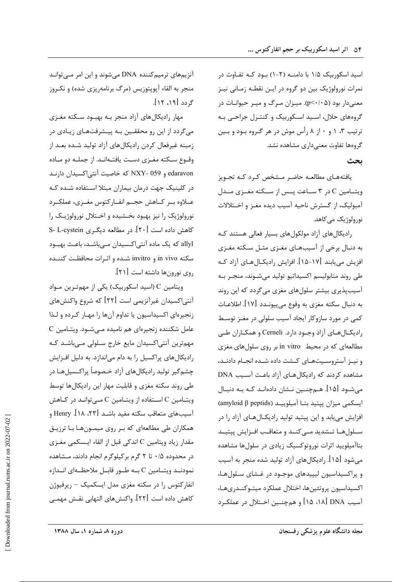اسید اسکوربیک ۱/۵ با دامنــه (۲-۱) بــود کــه تفــاوت در نمرات نورولوژیک بین دو گروه در ایـن نقطـه زمـانی نیـز معنی دار بود (p<٠/٠۵). میـزان مـرگ و میـر حیوانـات در گروههای حلال، اسـید اسـکوربیک و کنتـرل جراحـی بـه ترتیب ۳، ۱ و ۰ از ۸ رأس موش در هر گـروه بـود و بـین گروهها تفاوت معنىدارى مشاهده نشد.

#### ىحث

یافتههای مطالعه حاضر مشخص کرد کـه تجـویز ويتـامين C در ٣ سـاعت پــس از ســكته مغــزى مــدل آمبولیک، از گسترش ناحیه آسیب دیده مغـز و اخــتلالات نورولوژیک مے کاهد.

رادیکال های آزاد مولکول های بسیار فعالی هستند کـه به دنبال برخی از آسیبهای مغـزی مثـل سـكته مغـزی افزیش میبابند [۱۷-۱۵]. افزایش رادیکـال هـای آزاد کـه طی روند متابولیسم اکسیداتیو تولید می شـوند، منجـر بـه آسیبپذیری بیشتر سلولهای مغزی میگردد که این روند به دنبال سكته مغزى به وقوع مىپيونــدد [١٧]. اطلاعــات کمی در مورد سازوکار ایجاد آسیب سلولی در مغـز توسـط راديكـالهـاي آزاد وجـود دارد. Cerneli و همكـاران طـي مطالعهای که در محیط in vitro بر روی سلولهای مغزی و نیـز آستروسـیتهـای کـشت داده شـده انجـام دادنـد، مشاهده کردند که رادیکال های آزاد باعث آسیب DNA می شــود [۱۵]. هــمچنــین نــشان دادهانــد کــه بــه دنبــال ايسكمي ميزان پپتيد بتـا آميلوييـد (amyloid β peptids) افزایش می یابد و این پپتید تولید رادیکـالهـای آزاد را در سلولها تـشديد مـىكنـد و متعاقـب افـزايش پپتيـد بتاآمیلویید اثرات نوروتوکسیک زیادی در سلولها مشاهده میشود [۱۵]. رادیکالهای آزاد تولید شده منجر به آسیب و پراکسیداسیون لیپیدهای موجـود در غـشای سـلولهـا، اكسيداسيون يروتئينها، اختلال عملكرد ميتوكنـدرىهـا، آسیب DNA [۱۸، ۱۵] و همچنـین اخــتلال در عملکـرد

آنزیمهای ترمیم کننده DNA میشوند و این امر میتوانـد منجر به القاء آپوپتوزیس (مرگ برنامهریزی شده) و نکـروز گردد [۱۹، ۱۲].

مهار رادیکالهای آزاد منجر بـه بهبـود سـکته مغـزی میگردد از این رو محققـین بـه پیـشرفتهـای زیـادی در زمینه غیرفعال کردن رادیکالهای آزاد تولید شـده بعـد از وقـوع سـكته مغـزى دسـت يافتـهانـد. از جملـه دو مـاده edaravon و NXY- 059 كه خاصيت آنتي اكسيدان دارنـد در کلینیک جهت درمان بیماران مبتلا استفاده شـده کـه عــلاوه بــر كــاهش حجــم انفــاركتوس مغــزى، عملكــرد نورولوژیک را نیز بهبود بخـشیده و اخـتلال نورولوژیـک را کاهش داده است [۲۰]. در مطالعه دیگـری S- L-cystein allyl که یک ماده آنتی اکسیدان مے باشد، باعث بهبود سكته in vivo و invitro شـده و اثـرات محافظـت كننـده روي نورونها داشته است [٢١].

ويتامين C (اسيد اسكوربيك) يكي از مهمتـرين مـواد آنتی|کسیدان غیرآنزیمی است [۲۲] که شروع واکنش۱عای زنجیرهای اکسیداسیون یا تداوم آنها را مهـار کـرده و لـذا  $\rm C$  عامل شکننده زنجیرهای هم نامیده مے شـود. ویتـامین مهمترین آنتیاکسیدان مایع خارج سلولی مـیباشـد کـه رادیکال های پراکسیل را به دام میاندازد. به دلیل افزایش چشم گیر تولید رادیکالهای آزاد خـصوصاً پراکـسیلهــا در طی روند سکته مغزی و قابلیت مهار این رادیکالها توسط ویتـامین C اسـتفاده از ویتـامین C مـی توانـد در کـاهش آسیبهای متعاقب سکته مفید باشـد [۲۳، ۱۸]. Henry و همکاران طی مطالعهای که بر روی میمـونهـا بـا ترزیـق مقدار زياد ويتامين C اندكى قبل از القاء ايـسكمى مغـزى در محدوده ۰/۵ تا ۲ گرم برکیلوگرم انجام دادند، مشاهده نمودنــد ويتــامين C بــه طــور قابــل ملاحظــهاى انــدازه انفارکتوس را در سکته مغزی مدل ایسکمیک – رپرفیوژن كاهش داده است [٢٢]. واكنش1عاي التهابي نقـش مهمـي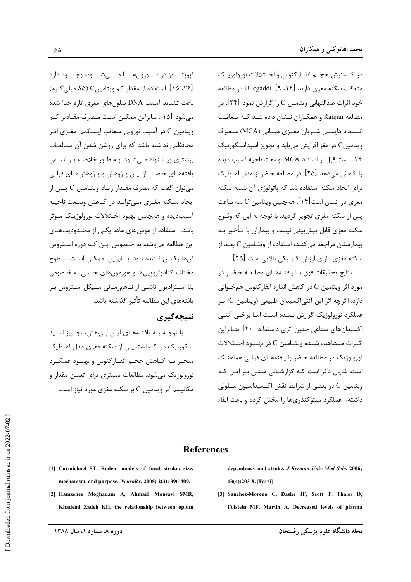در گــسترش حجــم انفــاركتوس و اخــتلالات نورولوژيــك متعاقب سكته مغزى دارند [۱۴، ۹]. Ullegaddi در مطالعه خود اثرات ضدالتهابی ویتامین C ,ا گزارش نمود [۲۴]. در مطالعه Ranjan و همكـاران نـشان داده شـد كـه متعاقـب انــسداد دايمــي شــريان مغــزي ميــاني (MCA) مــصرف ويتامينC در مغز افزايش مي يابد و تجويز اسيداسـكوربيك ۲۴ ساعت قبل از انسداد MCA، وسعت ناحيه آسيب ديده را كاهش مى،دهد [٢۵]. در مطالعه حاضر از مدل آمبوليک برای ایجاد سکته استفاده شد که پاتولوژی آن شبیه سکته مغزی در انسان است[۱۴]. همچنین ویتامین C سه ساعت يس از سكته مغزى تجويز گرديد. با توجه به اين كه وقـوع سکته مغزی قابل پیش,بینی نیست و بیماران با تـأخیر بـه بیمارستان مراجعه م*ی ک*نند، استفاده از ویتـامین C بعــد از سکته مغزی دارای ارزش کلینیکی بالایی است [۲۵].

نتايج تحقيقات فوق بـا يافتــهـمـاي مطالعــه حاضـر در مورد اثر ویتامین C در کاهش اندازه انفارکتوس همخـوانی دارد. اگرچه اثر این آنتےاکسیدان طبیعی (ویتامین C) ب عملکرد نورولوژیک گزارش نـشده اسـت امـا برخـی آنتـی اکسیدانهای صناعی چنین اثری داشتهاند [۲۰]. بنــابراین اثــرات مــشاهده شــده ويتــامين C در بهبــود اخــتلالات نورولوژیک در مطالعه حاضر با یافتههـای قبلـی هماهنـگ است. شایان ذکر است کـه گزارشـاتی مبنــی بـر ایـن کـه ويتامين C در بعضي از شرايط نقش اكـسيداسيون سـلولي داشته، عملکرد میتوکندریها را مختل کرده و باعث القاء

**References** 

- [1] Carmichael ST. Rodent models of focal stroke: size, mechanism, and purpose. NeuroRx, 2005; 2(3): 396-409.
- [2] Hamzehee Moghadam A, Ahmadi Mousavi SMR, Khademi Zadeh KH, the relationship between opium

dependency and stroke. J Kerman Univ Med Scie, 2006; 13(4):203-8. [Farsi]

[3] Sanchez-Moreno C, Dashe JF, Scott T, Thaler D, Folstein MF, Martin A. Decreased levels of plasma

.<br>آيويتــــوز در نــــورونهــــا مـــــ شــــود، وجــــود دارد [۲۶، ۱۵]. استفاده از مقدار کم ویتامین C (۸۵ میلی گـرم) باعث تشديد آسيب DNA سلولهاي مغزي تازه حدا شده می شود [۱۵]. بنابراین ممکـن اسـت مـصرف مقــادیر کــم ويتامين C در آسيب نوروني متعاقب ايـسكمي مغـزي اثـر محافظتی نداشته باشد که برای روشن شدن آن مطالعـات بیشتری پیشنهاد مے شـود. بـه طـور خلاصـه بـر اسـاس یافتههـای حاصـل از ایـن پـژوهش و پـژوهشهـای قبلـی می توان گفت که مصرف مقـدار زیـاد ویتـامین C پـس از ایجاد سـکته مغـزی مـی توانـد در کـاهش وسـعت ناحیـه آسيبديده و همچنين بهبود اخـتلالات نورولوژيـک مـؤثر باشد. استفاده از موشهای ماده یکبی از محبدودیتهای این مطالعه میباشد، به خـصوص ایـن کـه دوره اسـتروس آنها يكسان نــشده بــود. بنــابراين، ممكــن اســت ســطوح مختلف گنادوترويينها و هورمونهاي جنسي به خـصوص بتا اســترادیول ناشــی از نــاهمزمــانی ســیکل اســتروس بـر .<br>بافتههای این مطالعه تأثیر گذاشته باشد.

### نتيجەگيرى

با توجـه بـه يافتـههـاي ايـن پـژوهش، تجـويز اسـيد اسکورییک در ۳ ساعت پس از سکته مغزی مدل آمبولیک منجبر ببه كناهش حجيم انفياركتوس و بهبيود عملكبرد .<br>نورولوژیک مے،شود. مطالعات بیشتری برای تعیین مقدار و مکانیسم اثر ویتامین C بر سکته مغزی مورد نیاز است.

دوره ۸، شماره ۱، سال ۱۳۸۸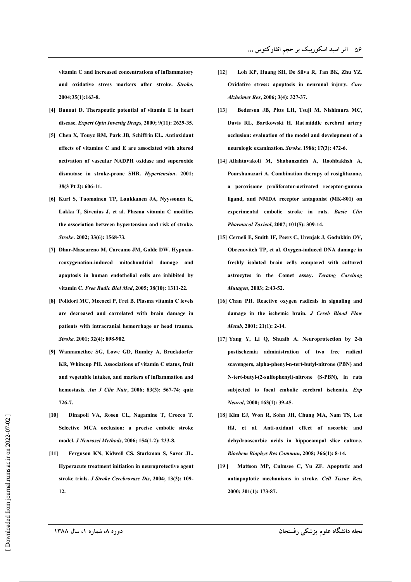vitamin C and increased concentrations of inflammatory and oxidative stress markers after stroke. Stroke, 2004:35(1):163-8.

- [4] Bunout D. Therapeutic potential of vitamin E in heart disease. Expert Opin Investig Drugs, 2000; 9(11): 2629-35.
- [5] Chen X, Touyz RM, Park JB, Schiffrin EL. Antioxidant effects of vitamins C and E are associated with altered activation of vascular NADPH oxidase and superoxide dismutase in stroke-prone SHR. Hypertension. 2001; 38(3 Pt 2): 606-11.
- [6] Kurl S, Tuomainen TP, Laukkanen JA, Nyyssonen K, Lakka T, Sivenius J, et al. Plasma vitamin C modifies the association between hypertension and risk of stroke. Stroke, 2002: 33(6): 1568-73.
- [7] Dhar-Mascareno M, Carcamo JM, Golde DW. Hypoxiareoxygenation-induced mitochondrial damage and apoptosis in human endothelial cells are inhibited by vitamin C. Free Radic Biol Med. 2005; 38(10): 1311-22.
- [8] Polidori MC, Mecocci P, Frei B. Plasma vitamin C levels are decreased and correlated with brain damage in patients with intracranial hemorrhage or head trauma. Stroke. 2001; 32(4): 898-902.
- [9] Wannamethee SG, Lowe GD, Rumley A, Bruckdorfer KR, Whincup PH. Associations of vitamin C status, fruit and vegetable intakes, and markers of inflammation and hemostasis. Am J Clin Nutr, 2006; 83(3): 567-74; quiz  $726 - 7.$
- $[10]$ Dinapoli VA, Rosen CL, Nagamine T, Crocco T. Selective MCA occlusion: a precise embolic stroke model. J Neurosci Methods, 2006; 154(1-2): 233-8.
- $[11]$ Ferguson KN, Kidwell CS, Starkman S, Saver JL. Hyperacute treatment initiation in neuroprotective agent stroke trials. J Stroke Cerebrovasc Dis, 2004; 13(3): 109- $12.$
- Loh KP, Huang SH, De Silva R, Tan BK, Zhu YZ.  $[12]$ Oxidative stress: apoptosis in neuronal injury. Curr Alzheimer Res. 2006: 3(4): 327-37.
- $[13]$ Bederson JB, Pitts LH, Tsuji M, Nishimura MC, Davis RL, Bartkowski H. Rat middle cerebral artery occlusion: evaluation of the model and development of a neurologic examination. Stroke. 1986; 17(3): 472-6.
- [14] Allahtavakoli M, Shabanzadeh A, Roohbakhsh A, Pourshanazari A. Combination therapy of rosiglitazone, a peroxisome proliferator-activated receptor-gamma ligand, and NMDA receptor antagonist (MK-801) on experimental embolic stroke in rats. Basic Clin Pharmacol Toxicol, 2007; 101(5): 309-14.
- [15] Cerneli E, Smith IF, Peers C, Urenjak J, Godukhin OV, Obrenovitch TP, et al. Oxygen-induced DNA damage in freshly isolated brain cells compared with cultured astrocytes in the Comet assay. Teratog Carcinog Mutagen, 2003; 2:43-52.
- [16] Chan PH. Reactive oxygen radicals in signaling and damage in the ischemic brain. J Cereb Blood Flow Metab, 2001; 21(1): 2-14.
- [17] Yang Y, Li Q, Shuaib A. Neuroprotection by 2-h postischemia administration of two free radical scavengers, alpha-phenyl-n-tert-butyl-nitrone (PBN) and N-tert-butyl-(2-sulfophenyl)-nitrone (S-PBN), in rats subjected to focal embolic cerebral ischemia. Exp Neurol, 2000; 163(1): 39-45.
- [18] Kim EJ, Won R, Sohn JH, Chung MA, Nam TS, Lee HJ, et al. Anti-oxidant effect of ascorbic and dehydroascorbic acids in hippocampal slice culture. Biochem Biophys Res Commun, 2008; 366(1): 8-14.
- Mattson MP, Culmsee C, Yu ZF. Apoptotic and  $1191$ antiapoptotic mechanisms in stroke. Cell Tissue Res, 2000; 301(1): 173-87.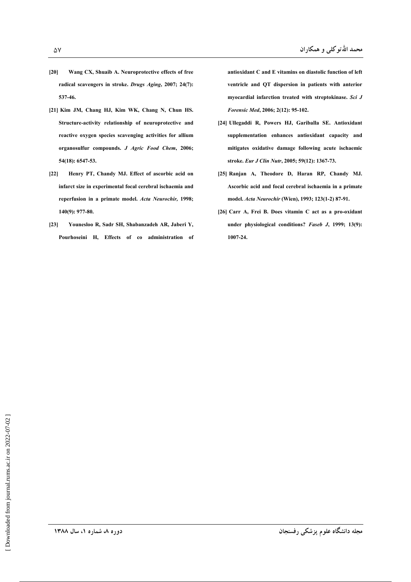- $[20]$ Wang CX, Shuaib A. Neuroprotective effects of free radical scavengers in stroke. Drugs Aging, 2007; 24(7): 537-46.
- [21] Kim JM, Chang HJ, Kim WK, Chang N, Chun HS. Structure-activity relationship of neuroprotective and reactive oxygen species scavenging activities for allium organosulfur compounds. J Agric Food Chem, 2006; 54(18): 6547-53.
- $[22]$ Henry PT, Chandy MJ. Effect of ascorbic acid on infarct size in experimental focal cerebral ischaemia and reperfusion in a primate model. Acta Neurochir, 1998; 140(9): 977-80.
- $[23]$ Younesloo R, Sadr SH, Shabanzadeh AR, Jaberi Y, Pourhoseini H. Effects of co administration of

antioxidant C and E vitamins on diastolic function of left ventricle and QT dispersion in patients with anterior myocardial infarction treated with streptokinase. Sci J Forensic Med, 2006; 2(12): 95-102.

- [24] Ullegaddi R, Powers HJ, Gariballa SE. Antioxidant supplementation enhances antioxidant capacity and mitigates oxidative damage following acute ischaemic stroke. Eur J Clin Nutr, 2005; 59(12): 1367-73.
- [25] Ranjan A, Theodore D, Haran RP, Chandy MJ. Ascorbic acid and focal cerebral ischaemia in a primate model. Acta Neurochir (Wien), 1993; 123(1-2) 87-91.
- [26] Carr A, Frei B. Does vitamin C act as a pro-oxidant under physiological conditions? Faseb J, 1999; 13(9): 1007-24.